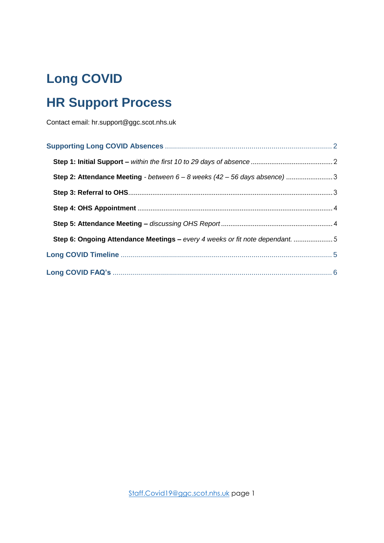# **Long COVID**

# **HR Support Process**

Contact email: hr.support@ggc.scot.nhs.uk

| Step 2: Attendance Meeting - between 6 - 8 weeks (42 - 56 days absence) 3    |  |
|------------------------------------------------------------------------------|--|
|                                                                              |  |
|                                                                              |  |
|                                                                              |  |
| Step 6: Ongoing Attendance Meetings - every 4 weeks or fit note dependant. 5 |  |
|                                                                              |  |
|                                                                              |  |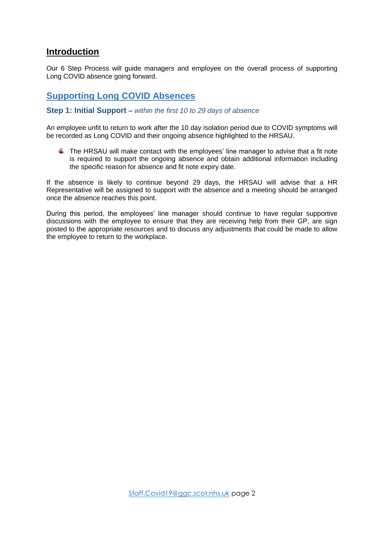### **Introduction**

Our 6 Step Process will guide managers and employee on the overall process of supporting Long COVID absence going forward.

## <span id="page-1-0"></span>**Supporting Long COVID Absences**

#### <span id="page-1-1"></span>**Step 1: Initial Support** *– within the first 10 to 29 days of absence*

An employee unfit to return to work after the 10 day isolation period due to COVID symptoms will be recorded as Long COVID and their ongoing absence highlighted to the HRSAU.

 $\uparrow$  The HRSAU will make contact with the employees' line manager to advise that a fit note is required to support the ongoing absence and obtain additional information including the specific reason for absence and fit note expiry date.

If the absence is likely to continue beyond 29 days, the HRSAU will advise that a HR Representative will be assigned to support with the absence and a meeting should be arranged once the absence reaches this point.

During this period, the employees' line manager should continue to have regular supportive discussions with the employee to ensure that they are receiving help from their GP, are sign posted to the appropriate resources and to discuss any adjustments that could be made to allow the employee to return to the workplace.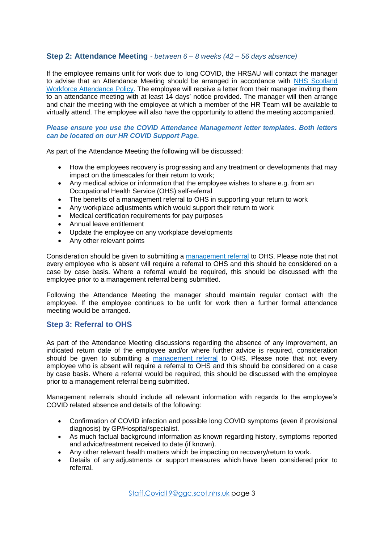#### <span id="page-2-0"></span>**Step 2: Attendance Meeting** *- between 6 – 8 weeks (42 – 56 days absence)*

If the employee remains unfit for work due to long COVID, the HRSAU will contact the manager to advise that an Attendance Meeting should be arranged in accordance with [NHS Scotland](https://workforce.nhs.scot/policies/attendance-policy-overview/)  [Workforce Attendance Policy.](https://workforce.nhs.scot/policies/attendance-policy-overview/) The employee will receive a letter from their manager inviting them to an attendance meeting with at least 14 days' notice provided. The manager will then arrange and chair the meeting with the employee at which a member of the HR Team will be available to virtually attend. The employee will also have the opportunity to attend the meeting accompanied.

#### *Please ensure you use the COVID Attendance Management letter templates. Both letters can be located on our HR COVID Support Page.*

As part of the Attendance Meeting the following will be discussed:

- How the employees recovery is progressing and any treatment or developments that may impact on the timescales for their return to work;
- Any medical advice or information that the employee wishes to share e.g. from an Occupational Health Service (OHS) self-referral
- The benefits of a management referral to OHS in supporting your return to work
- Any workplace adjustments which would support their return to work
- Medical certification requirements for pay purposes
- Annual leave entitlement
- Update the employee on any workplace developments
- Any other relevant points

Consideration should be given to submitting a [management referral](https://www.nhsggc.org.uk/working-with-us/hr-connect/occupational-health/management-referrals/) to OHS. Please note that not every employee who is absent will require a referral to OHS and this should be considered on a case by case basis. Where a referral would be required, this should be discussed with the employee prior to a management referral being submitted.

Following the Attendance Meeting the manager should maintain regular contact with the employee. If the employee continues to be unfit for work then a further formal attendance meeting would be arranged.

#### <span id="page-2-1"></span>**Step 3: Referral to OHS**

As part of the Attendance Meeting discussions regarding the absence of any improvement, an indicated return date of the employee and/or where further advice is required, consideration should be given to submitting a [management referral](https://www.nhsggc.org.uk/working-with-us/hr-connect/occupational-health/management-referrals/) to OHS. Please note that not every employee who is absent will require a referral to OHS and this should be considered on a case by case basis. Where a referral would be required, this should be discussed with the employee prior to a management referral being submitted.

Management referrals should include all relevant information with regards to the employee's COVID related absence and details of the following:

- Confirmation of COVID infection and possible long COVID symptoms (even if provisional diagnosis) by GP/Hospital/specialist.
- As much factual background information as known regarding history, symptoms reported and advice/treatment received to date (if known).
- Any other relevant health matters which be impacting on recovery/return to work.
- Details of any adjustments or support measures which have been considered prior to referral.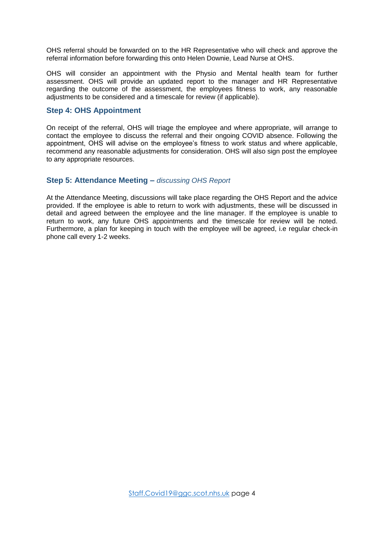OHS referral should be forwarded on to the HR Representative who will check and approve the referral information before forwarding this onto Helen Downie, Lead Nurse at OHS.

OHS will consider an appointment with the Physio and Mental health team for further assessment. OHS will provide an updated report to the manager and HR Representative regarding the outcome of the assessment, the employees fitness to work, any reasonable adjustments to be considered and a timescale for review (if applicable).

#### <span id="page-3-0"></span>**Step 4: OHS Appointment**

On receipt of the referral, OHS will triage the employee and where appropriate, will arrange to contact the employee to discuss the referral and their ongoing COVID absence. Following the appointment, OHS will advise on the employee's fitness to work status and where applicable, recommend any reasonable adjustments for consideration. OHS will also sign post the employee to any appropriate resources.

#### <span id="page-3-1"></span>**Step 5: Attendance Meeting –** *discussing OHS Report*

At the Attendance Meeting, discussions will take place regarding the OHS Report and the advice provided. If the employee is able to return to work with adjustments, these will be discussed in detail and agreed between the employee and the line manager. If the employee is unable to return to work, any future OHS appointments and the timescale for review will be noted. Furthermore, a plan for keeping in touch with the employee will be agreed, i.e regular check-in phone call every 1-2 weeks.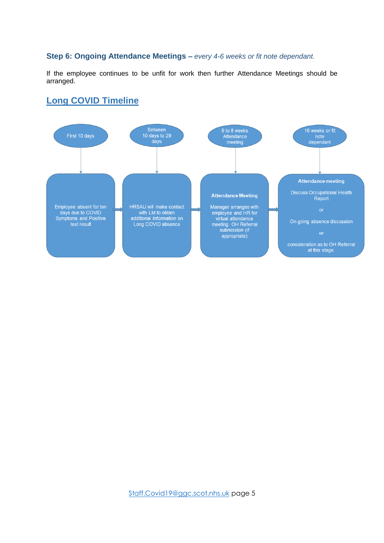#### <span id="page-4-0"></span>**Step 6: Ongoing Attendance Meetings –** *every 4-6 weeks or fit note dependant.*

If the employee continues to be unfit for work then further Attendance Meetings should be arranged.

### <span id="page-4-1"></span>**Long COVID Timeline**

<span id="page-4-2"></span>